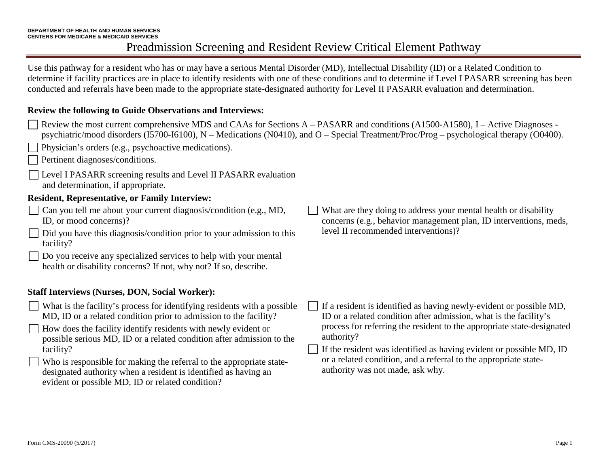Use this pathway for a resident who has or may have a serious Mental Disorder (MD), Intellectual Disability (ID) or a Related Condition to determine if facility practices are in place to identify residents with one of these conditions and to determine if Level I PASARR screening has been conducted and referrals have been made to the appropriate state-designated authority for Level II PASARR evaluation and determination.

#### **Review the following to Guide Observations and Interviews:**

| Review the most current comprehensive MDS and CAAs for Sections A – PASARR and conditions (A1500-A1580), I – Active Diagnoses -<br>Physician's orders (e.g., psychoactive medications).<br>Pertinent diagnoses/conditions.                                                               | psychiatric/mood disorders (I5700-I6100), $N -$ Medications (N0410), and $O -$ Special Treatment/Proc/Prog – psychological therapy (O0400).                                                                                      |
|------------------------------------------------------------------------------------------------------------------------------------------------------------------------------------------------------------------------------------------------------------------------------------------|----------------------------------------------------------------------------------------------------------------------------------------------------------------------------------------------------------------------------------|
| Level I PASARR screening results and Level II PASARR evaluation<br>and determination, if appropriate.                                                                                                                                                                                    |                                                                                                                                                                                                                                  |
| <b>Resident, Representative, or Family Interview:</b>                                                                                                                                                                                                                                    |                                                                                                                                                                                                                                  |
| Can you tell me about your current diagnosis/condition (e.g., MD,<br>ID, or mood concerns)?                                                                                                                                                                                              | What are they doing to address your mental health or disability<br>concerns (e.g., behavior management plan, ID interventions, meds,                                                                                             |
| Did you have this diagnosis/condition prior to your admission to this<br>facility?                                                                                                                                                                                                       | level II recommended interventions)?                                                                                                                                                                                             |
| Do you receive any specialized services to help with your mental<br>health or disability concerns? If not, why not? If so, describe.                                                                                                                                                     |                                                                                                                                                                                                                                  |
| <b>Staff Interviews (Nurses, DON, Social Worker):</b>                                                                                                                                                                                                                                    |                                                                                                                                                                                                                                  |
| What is the facility's process for identifying residents with a possible<br>MD, ID or a related condition prior to admission to the facility?<br>How does the facility identify residents with newly evident or<br>possible serious MD, ID or a related condition after admission to the | If a resident is identified as having newly-evident or possible MD,<br>ID or a related condition after admission, what is the facility's<br>process for referring the resident to the appropriate state-designated<br>authority? |
| facility?<br>Who is responsible for making the referral to the appropriate state-<br>designated authority when a resident is identified as having an<br>evident or possible MD, ID or related condition?                                                                                 | If the resident was identified as having evident or possible MD, ID<br>or a related condition, and a referral to the appropriate state-<br>authority was not made, ask why.                                                      |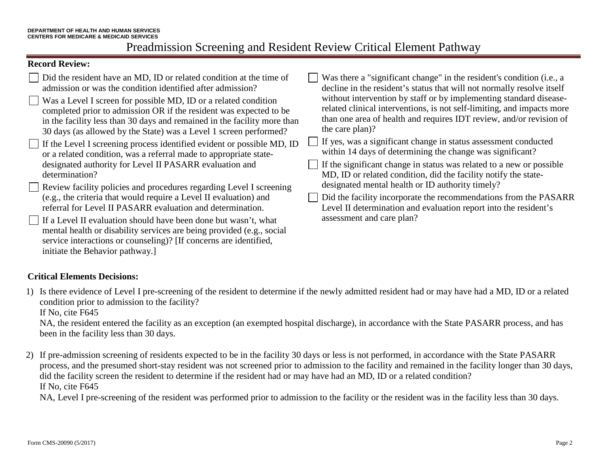#### **Record Review:**

| $\Box$ Did the resident have an MD, ID or related condition at the time of<br>admission or was the condition identified after admission?<br>$\vert$ Was a Level I screen for possible MD, ID or a related condition<br>completed prior to admission OR if the resident was expected to be<br>in the facility less than 30 days and remained in the facility more than<br>30 days (as allowed by the State) was a Level 1 screen performed?<br>$\Box$ If the Level I screening process identified evident or possible MD, ID<br>or a related condition, was a referral made to appropriate state-<br>designated authority for Level II PASARR evaluation and<br>determination?<br>Review facility policies and procedures regarding Level I screening<br>(e.g., the criteria that would require a Level II evaluation) and<br>referral for Level II PASARR evaluation and determination.<br>If a Level II evaluation should have been done but wasn't, what<br>mental health or disability services are being provided (e.g., social<br>service interactions or counseling)? [If concerns are identified,<br>initiate the Behavior pathway. | Was there a "significant change" in the resident's condition (i.e., a<br>decline in the resident's status that will not normally resolve itself<br>without intervention by staff or by implementing standard disease-<br>related clinical interventions, is not self-limiting, and impacts more<br>than one area of health and requires IDT review, and/or revision of<br>the care plan)?<br>If yes, was a significant change in status assessment conducted<br>within 14 days of determining the change was significant?<br>If the significant change in status was related to a new or possible<br>MD, ID or related condition, did the facility notify the state-<br>designated mental health or ID authority timely?<br>Did the facility incorporate the recommendations from the PASARR<br>Level II determination and evaluation report into the resident's<br>assessment and care plan? |
|--------------------------------------------------------------------------------------------------------------------------------------------------------------------------------------------------------------------------------------------------------------------------------------------------------------------------------------------------------------------------------------------------------------------------------------------------------------------------------------------------------------------------------------------------------------------------------------------------------------------------------------------------------------------------------------------------------------------------------------------------------------------------------------------------------------------------------------------------------------------------------------------------------------------------------------------------------------------------------------------------------------------------------------------------------------------------------------------------------------------------------------------|-----------------------------------------------------------------------------------------------------------------------------------------------------------------------------------------------------------------------------------------------------------------------------------------------------------------------------------------------------------------------------------------------------------------------------------------------------------------------------------------------------------------------------------------------------------------------------------------------------------------------------------------------------------------------------------------------------------------------------------------------------------------------------------------------------------------------------------------------------------------------------------------------|
|--------------------------------------------------------------------------------------------------------------------------------------------------------------------------------------------------------------------------------------------------------------------------------------------------------------------------------------------------------------------------------------------------------------------------------------------------------------------------------------------------------------------------------------------------------------------------------------------------------------------------------------------------------------------------------------------------------------------------------------------------------------------------------------------------------------------------------------------------------------------------------------------------------------------------------------------------------------------------------------------------------------------------------------------------------------------------------------------------------------------------------------------|-----------------------------------------------------------------------------------------------------------------------------------------------------------------------------------------------------------------------------------------------------------------------------------------------------------------------------------------------------------------------------------------------------------------------------------------------------------------------------------------------------------------------------------------------------------------------------------------------------------------------------------------------------------------------------------------------------------------------------------------------------------------------------------------------------------------------------------------------------------------------------------------------|

### **Critical Elements Decisions:**

1) Is there evidence of Level I pre-screening of the resident to determine if the newly admitted resident had or may have had a MD, ID or a related condition prior to admission to the facility?

If No, cite F645

NA, the resident entered the facility as an exception (an exempted hospital discharge), in accordance with the State PASARR process, and has been in the facility less than 30 days.

2) If pre-admission screening of residents expected to be in the facility 30 days or less is not performed, in accordance with the State PASARR process, and the presumed short-stay resident was not screened prior to admission to the facility and remained in the facility longer than 30 days, did the facility screen the resident to determine if the resident had or may have had an MD, ID or a related condition? If No, cite F645

NA, Level I pre-screening of the resident was performed prior to admission to the facility or the resident was in the facility less than 30 days.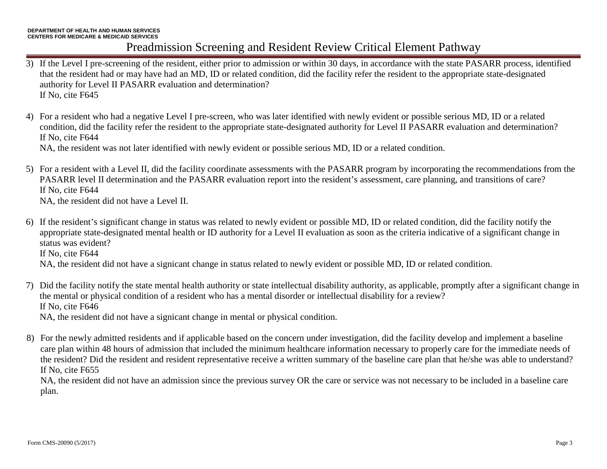- 3) If the Level I pre-screening of the resident, either prior to admission or within 30 days, in accordance with the state PASARR process, identified that the resident had or may have had an MD, ID or related condition, did the facility refer the resident to the appropriate state-designated authority for Level II PASARR evaluation and determination? If No, cite F645
- 4) For a resident who had a negative Level I pre-screen, who was later identified with newly evident or possible serious MD, ID or a related condition, did the facility refer the resident to the appropriate state-designated authority for Level II PASARR evaluation and determination? If No, cite F644

NA, the resident was not later identified with newly evident or possible serious MD, ID or a related condition.

5) For a resident with a Level II, did the facility coordinate assessments with the PASARR program by incorporating the recommendations from the PASARR level II determination and the PASARR evaluation report into the resident's assessment, care planning, and transitions of care? If No, cite F644

NA, the resident did not have a Level II.

- 6) If the resident's significant change in status was related to newly evident or possible MD, ID or related condition, did the facility notify the appropriate state-designated mental health or ID authority for a Level II evaluation as soon as the criteria indicative of a significant change in status was evident? If No, cite F644 NA, the resident did not have a signicant change in status related to newly evident or possible MD, ID or related condition.
- 7) Did the facility notify the state mental health authority or state intellectual disability authority, as applicable, promptly after a significant change in the mental or physical condition of a resident who has a mental disorder or intellectual disability for a review? If No, cite F646

NA, the resident did not have a signicant change in mental or physical condition.

8) For the newly admitted residents and if applicable based on the concern under investigation, did the facility develop and implement a baseline care plan within 48 hours of admission that included the minimum healthcare information necessary to properly care for the immediate needs of the resident? Did the resident and resident representative receive a written summary of the baseline care plan that he/she was able to understand? If No, cite F655

NA, the resident did not have an admission since the previous survey OR the care or service was not necessary to be included in a baseline care plan.